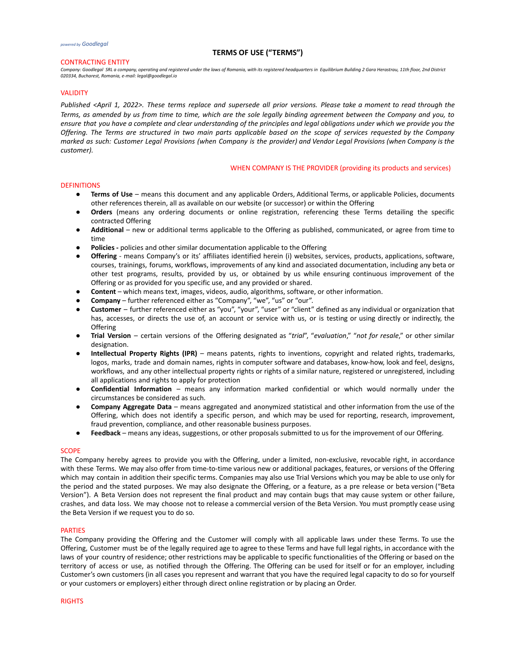## CONTRACTING ENTITY

*Company: Goodlegal SRL a company, operating and registered under the laws of Romania, with its registered headquarters in Equilibrium Building 2 Gara Herastrau, 11th floor, 2nd District 020334, Bucharest, Romania, e-mail: legal@goodlegal.io*

#### VALIDITY

Published <April 1, 2022>. These terms replace and supersede all prior versions. Please take a moment to read through the Terms, as amended by us from time to time, which are the sole legally binding agreement between the Company and you, to ensure that you have a complete and clear understanding of the principles and legal obligations under which we provide you the Offering. The Terms are structured in two main parts applicable based on the scope of services requested by the Company marked as such: Customer Legal Provisions (when Company is the provider) and Vendor Legal Provisions (when Company is the *customer).*

#### WHEN COMPANY IS THE PROVIDER (providing its products and services)

## DEFINITIONS

- **Terms of Use** means this document and any applicable Orders, Additional Terms, or applicable Policies, documents other references therein, all as available on our website (or successor) or within the Offering
- Orders (means any ordering documents or online registration, referencing these Terms detailing the specific contracted Offering
- **Additional** new or additional terms applicable to the Offering as published, communicated, or agree from time to time
- Policies policies and other similar documentation applicable to the Offering
- **Offering** means Company's or its' affiliates identified herein (i) websites, services, products, applications, software, courses, trainings, forums, workflows, improvements of any kind and associated documentation, including any beta or other test programs, results, provided by us, or obtained by us while ensuring continuous improvement of the Offering or as provided for you specific use, and any provided or shared.
- **Content** which means text, images, videos, audio, algorithms, software, or other information.
- **Company** further referenced either as "Company", "we", "us" or "our".
- **Customer** further referenced either as "you", "your", "user" or "client" defined as any individual or organization that has, accesses, or directs the use of, an account or service with us, or is testing or using directly or indirectly, the **Offering**
- **Trial Version** certain versions of the Offering designated as "*trial*", "*evaluation*," "*not for resale*," or other similar designation.
- **Intellectual Property Rights (IPR)** means patents, rights to inventions, copyright and related rights, trademarks, logos, marks, trade and domain names, rights in computer software and databases, know-how, look and feel, designs, workflows, and any other intellectual property rights or rights of a similar nature, registered or unregistered, including all applications and rights to apply for protection
- **Confidential Information** means any information marked confidential or which would normally under the circumstances be considered as such.
- **Company Aggregate Data** means aggregated and anonymized statistical and other information from the use of the Offering, which does not identify a specific person, and which may be used for reporting, research, improvement, fraud prevention, compliance, and other reasonable business purposes.
- Feedback means any ideas, suggestions, or other proposals submitted to us for the improvement of our Offering.

## **SCOPE**

The Company hereby agrees to provide you with the Offering, under a limited, non-exclusive, revocable right, in accordance with these Terms. We may also offer from time-to-time various new or additional packages, features, or versions of the Offering which may contain in addition their specific terms. Companies may also use Trial Versions which you may be able to use only for the period and the stated purposes. We may also designate the Offering, or a feature, as a pre release or beta version ("Beta Version"). A Beta Version does not represent the final product and may contain bugs that may cause system or other failure, crashes, and data loss. We may choose not to release a commercial version of the Beta Version. You must promptly cease using the Beta Version if we request you to do so.

#### PARTIES

The Company providing the Offering and the Customer will comply with all applicable laws under these Terms. To use the Offering, Customer must be of the legally required age to agree to these Terms and have full legal rights, in accordance with the laws of your country of residence; other restrictions may be applicable to specific functionalities of the Offering or based on the territory of access or use, as notified through the Offering. The Offering can be used for itself or for an employer, including Customer's own customers (in all cases you represent and warrant that you have the required legal capacity to do so for yourself or your customers or employers) either through direct online registration or by placing an Order.

RIGHTS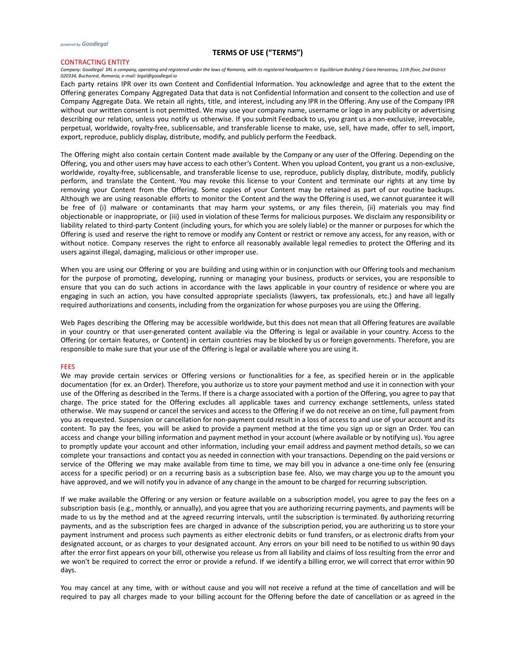#### CONTRACTING ENTITY

*Company: Goodlegal SRL a company, operating and registered under the laws of Romania, with its registered headquarters in Equilibrium Building 2 Gara Herastrau, 11th floor, 2nd District 020334, Bucharest, Romania, e-mail: legal@goodlegal.io*

Each party retains IPR over its own Content and Confidential Information. You acknowledge and agree that to the extent the Offering generates Company Aggregated Data that data is not Confidential Information and consent to the collection and use of Company Aggregate Data. We retain all rights, title, and interest, including any IPR in the Offering. Any use of the Company IPR without our written consent is not permitted. We may use your company name, username or logo in any publicity or advertising describing our relation, unless you notify us otherwise. If you submit Feedback to us, you grant us a non-exclusive, irrevocable, perpetual, worldwide, royalty-free, sublicensable, and transferable license to make, use, sell, have made, offer to sell, import, export, reproduce, publicly display, distribute, modify, and publicly perform the Feedback.

The Offering might also contain certain Content made available by the Company or any user of the Offering. Depending on the Offering, you and other users may have access to each other's Content. When you upload Content, you grant us a non-exclusive, worldwide, royalty-free, sublicensable, and transferable license to use, reproduce, publicly display, distribute, modify, publicly perform, and translate the Content. You may revoke this license to your Content and terminate our rights at any time by removing your Content from the Offering. Some copies of your Content may be retained as part of our routine backups. Although we are using reasonable efforts to monitor the Content and the way the Offering is used, we cannot guarantee it will be free of (i) malware or contaminants that may harm your systems, or any files therein, (ii) materials you may find objectionable or inappropriate, or (iii) used in violation of these Terms for malicious purposes. We disclaim any responsibility or liability related to third-party Content (including yours, for which you are solely liable) or the manner or purposes for which the Offering is used and reserve the right to remove or modify any Content or restrict or remove any access, for any reason, with or without notice. Company reserves the right to enforce all reasonably available legal remedies to protect the Offering and its users against illegal, damaging, malicious or other improper use.

When you are using our Offering or you are building and using within or in conjunction with our Offering tools and mechanism for the purpose of promoting, developing, running or managing your business, products or services, you are responsible to ensure that you can do such actions in accordance with the laws applicable in your country of residence or where you are engaging in such an action, you have consulted appropriate specialists (lawyers, tax professionals, etc.) and have all legally required authorizations and consents, including from the organization for whose purposes you are using the Offering.

Web Pages describing the Offering may be accessible worldwide, but this does not mean that all Offering features are available in your country or that user-generated content available via the Offering is legal or available in your country. Access to the Offering (or certain features, or Content) in certain countries may be blocked by us or foreign governments. Therefore, you are responsible to make sure that your use of the Offering is legal or available where you are using it.

#### FEES

We may provide certain services or Offering versions or functionalities for a fee, as specified herein or in the applicable documentation (for ex. an Order). Therefore, you authorize us to store your payment method and use it in connection with your use of the Offering as described in the Terms. If there is a charge associated with a portion of the Offering, you agree to pay that charge. The price stated for the Offering excludes all applicable taxes and currency exchange settlements, unless stated otherwise. We may suspend or cancel the services and access to the Offering if we do not receive an on time, full payment from you as requested. Suspension or cancellation for non-payment could result in a loss of access to and use of your account and its content. To pay the fees, you will be asked to provide a payment method at the time you sign up or sign an Order. You can access and change your billing information and payment method in your account (where available or by notifying us). You agree to promptly update your account and other information, including your email address and payment method details, so we can complete your transactions and contact you as needed in connection with your transactions. Depending on the paid versions or service of the Offering we may make available from time to time, we may bill you in advance a one-time only fee (ensuring access for a specific period) or on a recurring basis as a subscription base fee. Also, we may charge you up to the amount you have approved, and we will notify you in advance of any change in the amount to be charged for recurring subscription.

If we make available the Offering or any version or feature available on a subscription model, you agree to pay the fees on a subscription basis (e.g., monthly, or annually), and you agree that you are authorizing recurring payments, and payments will be made to us by the method and at the agreed recurring intervals, until the subscription is terminated. By authorizing recurring payments, and as the subscription fees are charged in advance of the subscription period, you are authorizing us to store your payment instrument and process such payments as either electronic debits or fund transfers, or as electronic drafts from your designated account, or as charges to your designated account. Any errors on your bill need to be notified to us within 90 days after the error first appears on your bill, otherwise you release us from all liability and claims of loss resulting from the error and we won't be required to correct the error or provide a refund. If we identify a billing error, we will correct that error within 90 days.

You may cancel at any time, with or without cause and you will not receive a refund at the time of cancellation and will be required to pay all charges made to your billing account for the Offering before the date of cancellation or as agreed in the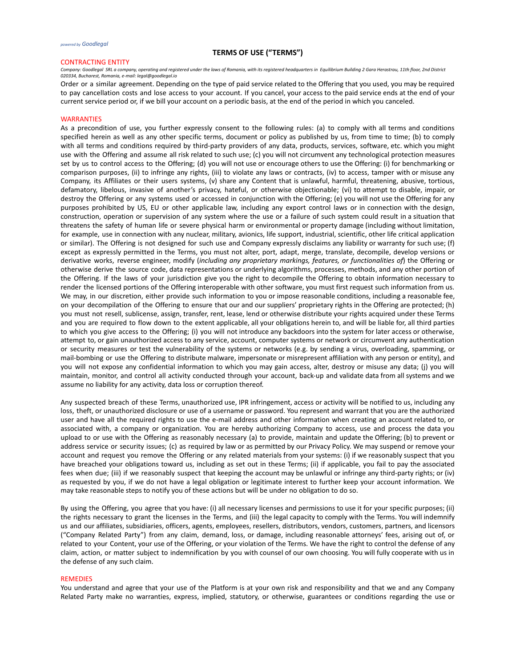#### CONTRACTING ENTITY

*Company: Goodlegal SRL a company, operating and registered under the laws of Romania, with its registered headquarters in Equilibrium Building 2 Gara Herastrau, 11th floor, 2nd District 020334, Bucharest, Romania, e-mail: legal@goodlegal.io*

Order or a similar agreement. Depending on the type of paid service related to the Offering that you used, you may be required to pay cancellation costs and lose access to your account. If you cancel, your access to the paid service ends at the end of your current service period or, if we bill your account on a periodic basis, at the end of the period in which you canceled.

#### **WARRANTIES**

As a precondition of use, you further expressly consent to the following rules: (a) to comply with all terms and conditions specified herein as well as any other specific terms, document or policy as published by us, from time to time; (b) to comply with all terms and conditions required by third-party providers of any data, products, services, software, etc. which you might use with the Offering and assume all risk related to such use; (c) you will not circumvent any technological protection measures set by us to control access to the Offering; (d) you will not use or encourage others to use the Offering: (i) for benchmarking or comparison purposes, (ii) to infringe any rights, (iii) to violate any laws or contracts, (iv) to access, tamper with or misuse any Company, its Affiliates or their users systems, (v) share any Content that is unlawful, harmful, threatening, abusive, tortious, defamatory, libelous, invasive of another's privacy, hateful, or otherwise objectionable; (vi) to attempt to disable, impair, or destroy the Offering or any systems used or accessed in conjunction with the Offering; (e) you will not use the Offering for any purposes prohibited by US, EU or other applicable law, including any export control laws or in connection with the design, construction, operation or supervision of any system where the use or a failure of such system could result in a situation that threatens the safety of human life or severe physical harm or environmental or property damage (including without limitation, for example, use in connection with any nuclear, military, avionics, life support, industrial, scientific, other life critical application or similar). The Offering is not designed for such use and Company expressly disclaims any liability or warranty for such use; (f) except as expressly permitted in the Terms, you must not alter, port, adapt, merge, translate, decompile, develop versions or derivative works, reverse engineer, modify (*including any proprietary markings, features, or functionalities of*) the Offering or otherwise derive the source code, data representations or underlying algorithms, processes, methods, and any other portion of the Offering. If the laws of your jurisdiction give you the right to decompile the Offering to obtain information necessary to render the licensed portions of the Offering interoperable with other software, you must first request such information from us. We may, in our discretion, either provide such information to you or impose reasonable conditions, including a reasonable fee, on your decompilation of the Offering to ensure that our and our suppliers' proprietary rights in the Offering are protected; (h) you must not resell, sublicense, assign, transfer, rent, lease, lend or otherwise distribute your rights acquired under these Terms and you are required to flow down to the extent applicable, all your obligations herein to, and will be liable for, all third parties to which you give access to the Offering; (i) you will not introduce any backdoors into the system for later access or otherwise, attempt to, or gain unauthorized access to any service, account, computer systems or network or circumvent any authentication or security measures or test the vulnerability of the systems or networks (e.g. by sending a virus, overloading, spamming, or mail-bombing or use the Offering to distribute malware, impersonate or misrepresent affiliation with any person or entity), and you will not expose any confidential information to which you may gain access, alter, destroy or misuse any data; (j) you will maintain, monitor, and control all activity conducted through your account, back-up and validate data from all systems and we assume no liability for any activity, data loss or corruption thereof.

Any suspected breach of these Terms, unauthorized use, IPR infringement, access or activity will be notified to us, including any loss, theft, or unauthorized disclosure or use of a username or password. You represent and warrant that you are the authorized user and have all the required rights to use the e-mail address and other information when creating an account related to, or associated with, a company or organization. You are hereby authorizing Company to access, use and process the data you upload to or use with the Offering as reasonably necessary (a) to provide, maintain and update the Offering; (b) to prevent or address service or security issues; (c) as required by law or as permitted by our Privacy Policy. We may suspend or remove your account and request you remove the Offering or any related materials from your systems: (i) if we reasonably suspect that you have breached your obligations toward us, including as set out in these Terms; (ii) if applicable, you fail to pay the associated fees when due; (iii) if we reasonably suspect that keeping the account may be unlawful or infringe any third-party rights; or (iv) as requested by you, if we do not have a legal obligation or legitimate interest to further keep your account information. We may take reasonable steps to notify you of these actions but will be under no obligation to do so.

By using the Offering, you agree that you have: (i) all necessary licenses and permissions to use it for your specific purposes; (ii) the rights necessary to grant the licenses in the Terms, and (iii) the legal capacity to comply with the Terms. You will indemnify us and our affiliates, subsidiaries, officers, agents, employees, resellers, distributors, vendors, customers, partners, and licensors ("Company Related Party") from any claim, demand, loss, or damage, including reasonable attorneys' fees, arising out of, or related to your Content, your use of the Offering, or your violation of the Terms. We have the right to control the defense of any claim, action, or matter subject to indemnification by you with counsel of our own choosing. You will fully cooperate with us in the defense of any such claim.

#### REMEDIES

You understand and agree that your use of the Platform is at your own risk and responsibility and that we and any Company Related Party make no warranties, express, implied, statutory, or otherwise, guarantees or conditions regarding the use or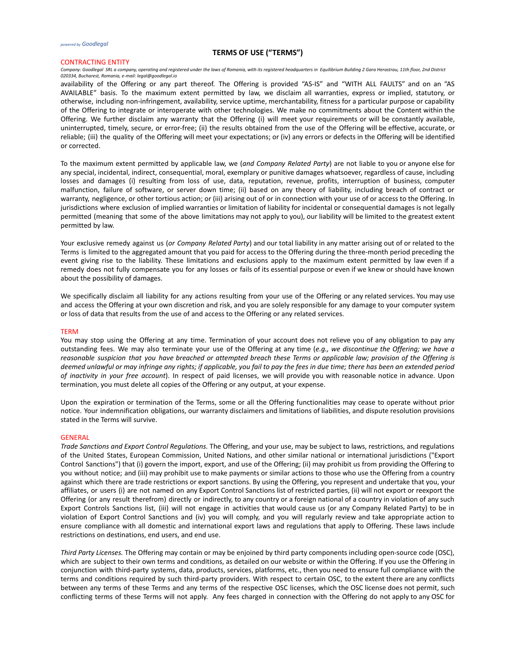#### CONTRACTING ENTITY

*Company: Goodlegal SRL a company, operating and registered under the laws of Romania, with its registered headquarters in Equilibrium Building 2 Gara Herastrau, 11th floor, 2nd District 020334, Bucharest, Romania, e-mail: legal@goodlegal.io*

availability of the Offering or any part thereof. The Offering is provided "AS-IS" and "WITH ALL FAULTS" and on an "AS AVAILABLE" basis. To the maximum extent permitted by law, we disclaim all warranties, express or implied, statutory, or otherwise, including non-infringement, availability, service uptime, merchantability, fitness for a particular purpose or capability of the Offering to integrate or interoperate with other technologies. We make no commitments about the Content within the Offering. We further disclaim any warranty that the Offering (i) will meet your requirements or will be constantly available, uninterrupted, timely, secure, or error-free; (ii) the results obtained from the use of the Offering will be effective, accurate, or reliable; (iii) the quality of the Offering will meet your expectations; or (iv) any errors or defects in the Offering will be identified or corrected.

To the maximum extent permitted by applicable law, we (*and Company Related Party*) are not liable to you or anyone else for any special, incidental, indirect, consequential, moral, exemplary or punitive damages whatsoever, regardless of cause, including losses and damages (i) resulting from loss of use, data, reputation, revenue, profits, interruption of business, computer malfunction, failure of software, or server down time; (ii) based on any theory of liability, including breach of contract or warranty, negligence, or other tortious action; or (iii) arising out of or in connection with your use of or access to the Offering. In jurisdictions where exclusion of implied warranties or limitation of liability for incidental or consequential damages is not legally permitted (meaning that some of the above limitations may not apply to you), our liability will be limited to the greatest extent permitted by law.

Your exclusive remedy against us (*or Company Related Party*) and our total liability in any matter arising out of or related to the Terms is limited to the aggregated amount that you paid for access to the Offering during the three-month period preceding the event giving rise to the liability. These limitations and exclusions apply to the maximum extent permitted by law even if a remedy does not fully compensate you for any losses or fails of its essential purpose or even if we knew or should have known about the possibility of damages.

We specifically disclaim all liability for any actions resulting from your use of the Offering or any related services. You may use and access the Offering at your own discretion and risk, and you are solely responsible for any damage to your computer system or loss of data that results from the use of and access to the Offering or any related services.

#### TERM

You may stop using the Offering at any time. Termination of your account does not relieve you of any obligation to pay any outstanding fees. We may also terminate your use of the Offering at any time (*e.g., we discontinue the Offering; we have a* reasonable suspicion that you have breached or attempted breach these Terms or applicable law; provision of the Offering is deemed unlawful or may infringe any rights; if applicable, you fail to pay the fees in due time; there has been an extended period *of inactivity in your free account*). In respect of paid licenses, we will provide you with reasonable notice in advance. Upon termination, you must delete all copies of the Offering or any output, at your expense.

Upon the expiration or termination of the Terms, some or all the Offering functionalities may cease to operate without prior notice. Your indemnification obligations, our warranty disclaimers and limitations of liabilities, and dispute resolution provisions stated in the Terms will survive.

#### GENERAL

*Trade Sanctions and Export Control Regulations.* The Offering, and your use, may be subject to laws, restrictions, and regulations of the United States, European Commission, United Nations, and other similar national or international jurisdictions ("Export Control Sanctions") that (i) govern the import, export, and use of the Offering; (ii) may prohibit us from providing the Offering to you without notice; and (iii) may prohibit use to make payments or similar actions to those who use the Offering from a country against which there are trade restrictions or export sanctions. By using the Offering, you represent and undertake that you, your affiliates, or users (i) are not named on any Export Control Sanctions list of restricted parties, (ii) will not export or reexport the Offering (or any result therefrom) directly or indirectly, to any country or a foreign national of a country in violation of any such Export Controls Sanctions list, (iii) will not engage in activities that would cause us (or any Company Related Party) to be in violation of Export Control Sanctions and (iv) you will comply, and you will regularly review and take appropriate action to ensure compliance with all domestic and international export laws and regulations that apply to Offering. These laws include restrictions on destinations, end users, and end use.

*Third Party Licenses.* The Offering may contain or may be enjoined by third party components including open-source code (OSC), which are subject to their own terms and conditions, as detailed on our website or within the Offering. If you use the Offering in conjunction with third-party systems, data, products, services, platforms, etc., then you need to ensure full compliance with the terms and conditions required by such third-party providers. With respect to certain OSC, to the extent there are any conflicts between any terms of these Terms and any terms of the respective OSC licenses, which the OSC license does not permit, such conflicting terms of these Terms will not apply. Any fees charged in connection with the Offering do not apply to any OSC for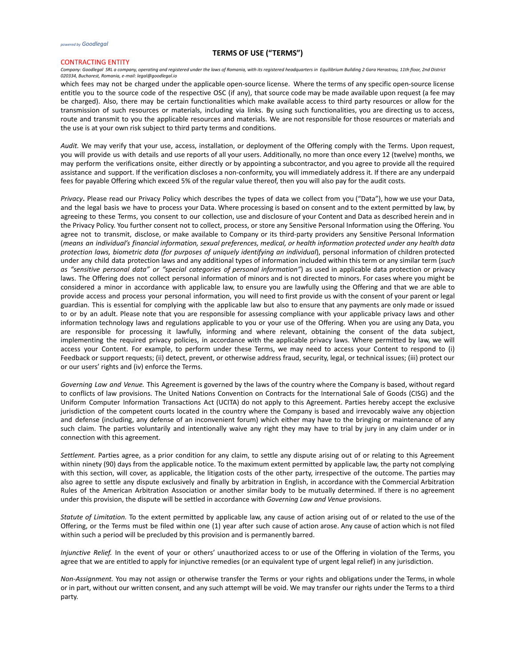#### CONTRACTING ENTITY

*Company: Goodlegal SRL a company, operating and registered under the laws of Romania, with its registered headquarters in Equilibrium Building 2 Gara Herastrau, 11th floor, 2nd District 020334, Bucharest, Romania, e-mail: legal@goodlegal.io*

which fees may not be charged under the applicable open-source license. Where the terms of any specific open-source license entitle you to the source code of the respective OSC (if any), that source code may be made available upon request (a fee may be charged). Also, there may be certain functionalities which make available access to third party resources or allow for the transmission of such resources or materials, including via links. By using such functionalities, you are directing us to access, route and transmit to you the applicable resources and materials. We are not responsible for those resources or materials and the use is at your own risk subject to third party terms and conditions.

*Audit.* We may verify that your use, access, installation, or deployment of the Offering comply with the Terms. Upon request, you will provide us with details and use reports of all your users. Additionally, no more than once every 12 (twelve) months, we may perform the verifications onsite, either directly or by appointing a subcontractor, and you agree to provide all the required assistance and support. If the verification discloses a non-conformity, you will immediately address it. If there are any underpaid fees for payable Offering which exceed 5% of the regular value thereof, then you will also pay for the audit costs.

*Privacy***.** Please read our Privacy Policy which describes the types of data we collect from you ("Data"), how we use your Data, and the legal basis we have to process your Data. Where processing is based on consent and to the extent permitted by law, by agreeing to these Terms, you consent to our collection, use and disclosure of your Content and Data as described herein and in the Privacy Policy. You further consent not to collect, process, or store any Sensitive Personal Information using the Offering. You agree not to transmit, disclose, or make available to Company or its third-party providers any Sensitive Personal Information (means an individual's financial information, sexual preferences, medical, or health information protected under any health data *protection laws, biometric data (for purposes of uniquely identifying an individual*), personal information of children protected under any child data protection laws and any additional types of information included within this term or any similar term (*such as "sensitive personal data" or "special categories of personal information"*) as used in applicable data protection or privacy laws. The Offering does not collect personal information of minors and is not directed to minors. For cases where you might be considered a minor in accordance with applicable law, to ensure you are lawfully using the Offering and that we are able to provide access and process your personal information, you will need to first provide us with the consent of your parent or legal guardian. This is essential for complying with the applicable law but also to ensure that any payments are only made or issued to or by an adult. Please note that you are responsible for assessing compliance with your applicable privacy laws and other information technology laws and regulations applicable to you or your use of the Offering. When you are using any Data, you are responsible for processing it lawfully, informing and where relevant, obtaining the consent of the data subject, implementing the required privacy policies, in accordance with the applicable privacy laws. Where permitted by law, we will access your Content. For example, to perform under these Terms, we may need to access your Content to respond to (i) Feedback or support requests; (ii) detect, prevent, or otherwise address fraud, security, legal, or technical issues; (iii) protect our or our users' rights and (iv) enforce the Terms.

*Governing Law and Venue.* This Agreement is governed by the laws of the country where the Company is based, without regard to conflicts of law provisions. The United Nations Convention on Contracts for the International Sale of Goods (CISG) and the Uniform Computer Information Transactions Act (UCITA) do not apply to this Agreement. Parties hereby accept the exclusive jurisdiction of the competent courts located in the country where the Company is based and irrevocably waive any objection and defense (including, any defense of an inconvenient forum) which either may have to the bringing or maintenance of any such claim. The parties voluntarily and intentionally waive any right they may have to trial by jury in any claim under or in connection with this agreement.

*Settlement.* Parties agree, as a prior condition for any claim, to settle any dispute arising out of or relating to this Agreement within ninety (90) days from the applicable notice. To the maximum extent permitted by applicable law, the party not complying with this section, will cover, as applicable, the litigation costs of the other party, irrespective of the outcome. The parties may also agree to settle any dispute exclusively and finally by arbitration in English, in accordance with the Commercial Arbitration Rules of the American Arbitration Association or another similar body to be mutually determined. If there is no agreement under this provision, the dispute will be settled in accordance with *Governing Law and Venue* provisions.

*Statute of Limitation.* To the extent permitted by applicable law, any cause of action arising out of or related to the use of the Offering, or the Terms must be filed within one (1) year after such cause of action arose. Any cause of action which is not filed within such a period will be precluded by this provision and is permanently barred.

*Injunctive Relief.* In the event of your or others' unauthorized access to or use of the Offering in violation of the Terms, you agree that we are entitled to apply for injunctive remedies (or an equivalent type of urgent legal relief) in any jurisdiction.

*Non-Assignment.* You may not assign or otherwise transfer the Terms or your rights and obligations under the Terms, in whole or in part, without our written consent, and any such attempt will be void. We may transfer our rights under the Terms to a third party.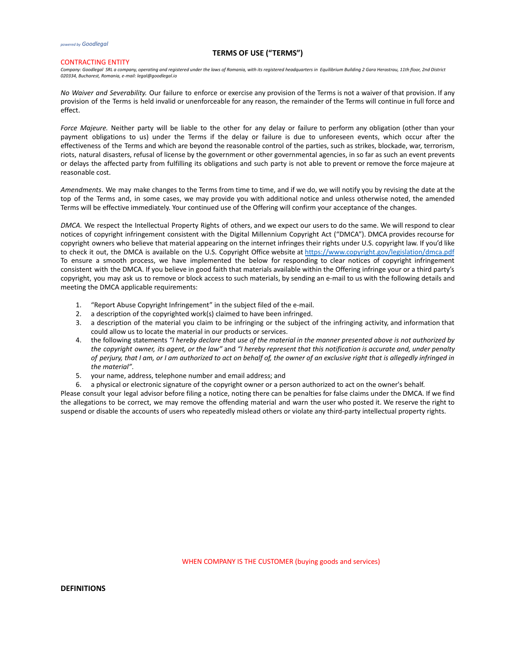#### CONTRACTING ENTITY

Company: Goodlegal SRL a company, operating and registered under the laws of Romania, with its registered headquarters in Equilibrium Building 2 Gara Herastrau, 11th floor, 2nd District *020334, Bucharest, Romania, e-mail: legal@goodlegal.io*

*No Waiver and Severability.* Our failure to enforce or exercise any provision of the Terms is not a waiver of that provision. If any provision of the Terms is held invalid or unenforceable for any reason, the remainder of the Terms will continue in full force and effect.

*Force Majeure.* Neither party will be liable to the other for any delay or failure to perform any obligation (other than your payment obligations to us) under the Terms if the delay or failure is due to unforeseen events, which occur after the effectiveness of the Terms and which are beyond the reasonable control of the parties, such as strikes, blockade, war, terrorism, riots, natural disasters, refusal of license by the government or other governmental agencies, in so far as such an event prevents or delays the affected party from fulfilling its obligations and such party is not able to prevent or remove the force majeure at reasonable cost.

*Amendments*. We may make changes to the Terms from time to time, and if we do, we will notify you by revising the date at the top of the Terms and, in some cases, we may provide you with additional notice and unless otherwise noted, the amended Terms will be effective immediately. Your continued use of the Offering will confirm your acceptance of the changes.

*DMCA.* We respect the Intellectual Property Rights of others, and we expect our users to do the same. We will respond to clear notices of copyright infringement consistent with the Digital Millennium Copyright Act ("DMCA"). DMCA provides recourse for copyright owners who believe that material appearing on the internet infringes their rights under U.S. copyright law. If you'd like to check it out, the DMCA is available on the U.S. Copyright Office website at <https://www.copyright.gov/legislation/dmca.pdf> To ensure a smooth process, we have implemented the below for responding to clear notices of copyright infringement consistent with the DMCA. If you believe in good faith that materials available within the Offering infringe your or a third party's copyright, you may ask us to remove or block access to such materials, by sending an e-mail to us with the following details and meeting the DMCA applicable requirements:

- 1. "Report Abuse Copyright Infringement" in the subject filed of the e-mail.
- 2. a description of the copyrighted work(s) claimed to have been infringed.
- 3. a description of the material you claim to be infringing or the subject of the infringing activity, and information that could allow us to locate the material in our products or services.
- 4. the following statements "I hereby declare that use of the material in the manner presented above is not authorized by the copyright owner, its agent, or the law" and "I hereby represent that this notification is accurate and, under penalty of perjury, that I am, or I am authorized to act on behalf of, the owner of an exclusive right that is allegedly infringed in *the material"*.
- 5. your name, address, telephone number and email address; and
- 6. a physical or electronic signature of the copyright owner or a person authorized to act on the owner's behalf.

Please consult your legal advisor before filing a notice, noting there can be penalties for false claims under the DMCA. If we find the allegations to be correct, we may remove the offending material and warn the user who posted it. We reserve the right to suspend or disable the accounts of users who repeatedly mislead others or violate any third-party intellectual property rights.

WHEN COMPANY IS THE CUSTOMER (buying goods and services)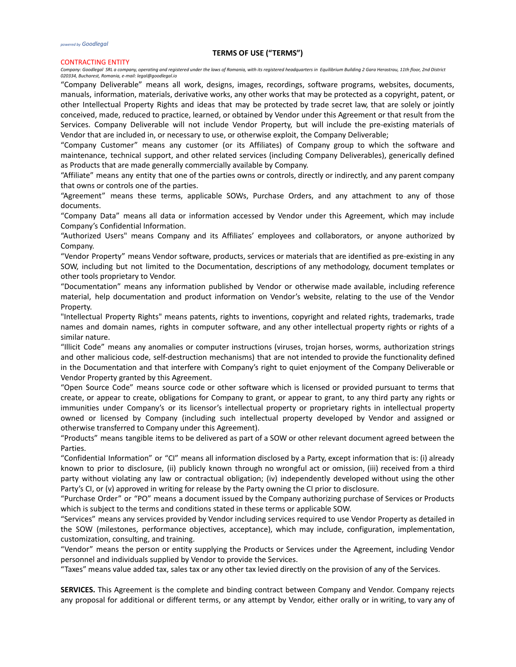### CONTRACTING ENTITY

*Company: Goodlegal SRL a company, operating and registered under the laws of Romania, with its registered headquarters in Equilibrium Building 2 Gara Herastrau, 11th floor, 2nd District 020334, Bucharest, Romania, e-mail: legal@goodlegal.io*

"Company Deliverable" means all work, designs, images, recordings, software programs, websites, documents, manuals, information, materials, derivative works, any other works that may be protected as a copyright, patent, or other Intellectual Property Rights and ideas that may be protected by trade secret law, that are solely or jointly conceived, made, reduced to practice, learned, or obtained by Vendor under this Agreement or that result from the Services. Company Deliverable will not include Vendor Property, but will include the pre-existing materials of Vendor that are included in, or necessary to use, or otherwise exploit, the Company Deliverable;

"Company Customer" means any customer (or its Affiliates) of Company group to which the software and maintenance, technical support, and other related services (including Company Deliverables), generically defined as Products that are made generally commercially available by Company.

"Affiliate" means any entity that one of the parties owns or controls, directly or indirectly, and any parent company that owns or controls one of the parties.

"Agreement" means these terms, applicable SOWs, Purchase Orders, and any attachment to any of those documents.

"Company Data" means all data or information accessed by Vendor under this Agreement, which may include Company's Confidential Information.

"Authorized Users" means Company and its Affiliates' employees and collaborators, or anyone authorized by Company.

"Vendor Property" means Vendor software, products, services or materials that are identified as pre-existing in any SOW, including but not limited to the Documentation, descriptions of any methodology, document templates or other tools proprietary to Vendor.

"Documentation" means any information published by Vendor or otherwise made available, including reference material, help documentation and product information on Vendor's website, relating to the use of the Vendor Property.

"Intellectual Property Rights" means patents, rights to inventions, copyright and related rights, trademarks, trade names and domain names, rights in computer software, and any other intellectual property rights or rights of a similar nature.

"Illicit Code" means any anomalies or computer instructions (viruses, trojan horses, worms, authorization strings and other malicious code, self-destruction mechanisms) that are not intended to provide the functionality defined in the Documentation and that interfere with Company's right to quiet enjoyment of the Company Deliverable or Vendor Property granted by this Agreement.

"Open Source Code" means source code or other software which is licensed or provided pursuant to terms that create, or appear to create, obligations for Company to grant, or appear to grant, to any third party any rights or immunities under Company's or its licensor's intellectual property or proprietary rights in intellectual property owned or licensed by Company (including such intellectual property developed by Vendor and assigned or otherwise transferred to Company under this Agreement).

"Products" means tangible items to be delivered as part of a SOW or other relevant document agreed between the Parties.

"Confidential Information" or "CI" means all information disclosed by a Party, except information that is: (i) already known to prior to disclosure, (ii) publicly known through no wrongful act or omission, (iii) received from a third party without violating any law or contractual obligation; (iv) independently developed without using the other Party's CI, or (v) approved in writing for release by the Party owning the CI prior to disclosure.

"Purchase Order" or "PO" means a document issued by the Company authorizing purchase of Services or Products which is subject to the terms and conditions stated in these terms or applicable SOW.

"Services" means any services provided by Vendor including services required to use Vendor Property as detailed in the SOW (milestones, performance objectives, acceptance), which may include, configuration, implementation, customization, consulting, and training.

"Vendor" means the person or entity supplying the Products or Services under the Agreement, including Vendor personnel and individuals supplied by Vendor to provide the Services.

"Taxes" means value added tax, sales tax or any other tax levied directly on the provision of any of the Services.

**SERVICES.** This Agreement is the complete and binding contract between Company and Vendor. Company rejects any proposal for additional or different terms, or any attempt by Vendor, either orally or in writing, to vary any of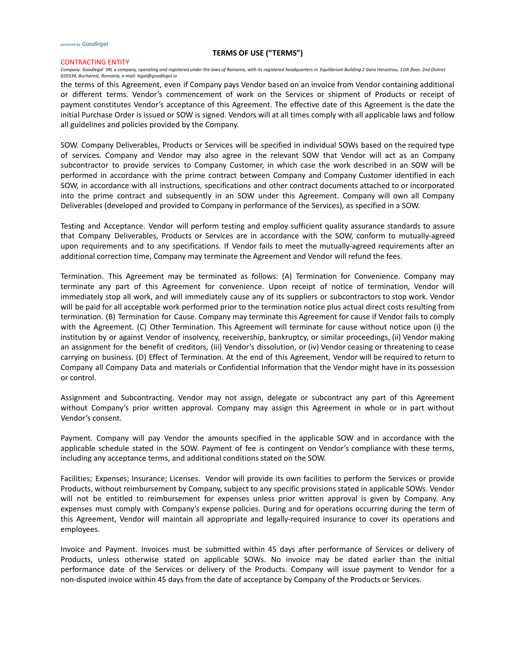#### CONTRACTING ENTITY

*Company: Goodlegal SRL a company, operating and registered under the laws of Romania, with its registered headquarters in Equilibrium Building 2 Gara Herastrau, 11th floor, 2nd District 020334, Bucharest, Romania, e-mail: legal@goodlegal.io*

the terms of this Agreement, even if Company pays Vendor based on an invoice from Vendor containing additional or different terms. Vendor's commencement of work on the Services or shipment of Products or receipt of payment constitutes Vendor's acceptance of this Agreement. The effective date of this Agreement is the date the initial Purchase Order is issued or SOW is signed. Vendors will at all times comply with all applicable laws and follow all guidelines and policies provided by the Company.

SOW. Company Deliverables, Products or Services will be specified in individual SOWs based on the required type of services. Company and Vendor may also agree in the relevant SOW that Vendor will act as an Company subcontractor to provide services to Company Customer, in which case the work described in an SOW will be performed in accordance with the prime contract between Company and Company Customer identified in each SOW, in accordance with all instructions, specifications and other contract documents attached to or incorporated into the prime contract and subsequently in an SOW under this Agreement. Company will own all Company Deliverables (developed and provided to Company in performance of the Services), as specified in a SOW.

Testing and Acceptance. Vendor will perform testing and employ sufficient quality assurance standards to assure that Company Deliverables, Products or Services are in accordance with the SOW, conform to mutually-agreed upon requirements and to any specifications. If Vendor fails to meet the mutually-agreed requirements after an additional correction time, Company may terminate the Agreement and Vendor will refund the fees.

Termination. This Agreement may be terminated as follows: (A) Termination for Convenience. Company may terminate any part of this Agreement for convenience. Upon receipt of notice of termination, Vendor will immediately stop all work, and will immediately cause any of its suppliers or subcontractors to stop work. Vendor will be paid for all acceptable work performed prior to the termination notice plus actual direct costs resulting from termination. (B) Termination for Cause. Company may terminate this Agreement for cause if Vendor fails to comply with the Agreement. (C) Other Termination. This Agreement will terminate for cause without notice upon (i) the institution by or against Vendor of insolvency, receivership, bankruptcy, or similar proceedings, (ii) Vendor making an assignment for the benefit of creditors, (iii) Vendor's dissolution, or (iv) Vendor ceasing or threatening to cease carrying on business. (D) Effect of Termination. At the end of this Agreement, Vendor will be required to return to Company all Company Data and materials or Confidential Information that the Vendor might have in its possession or control.

Assignment and Subcontracting. Vendor may not assign, delegate or subcontract any part of this Agreement without Company's prior written approval. Company may assign this Agreement in whole or in part without Vendor's consent.

Payment. Company will pay Vendor the amounts specified in the applicable SOW and in accordance with the applicable schedule stated in the SOW. Payment of fee is contingent on Vendor's compliance with these terms, including any acceptance terms, and additional conditions stated on the SOW.

Facilities; Expenses; Insurance; Licenses. Vendor will provide its own facilities to perform the Services or provide Products, without reimbursement by Company, subject to any specific provisions stated in applicable SOWs. Vendor will not be entitled to reimbursement for expenses unless prior written approval is given by Company. Any expenses must comply with Company's expense policies. During and for operations occurring during the term of this Agreement, Vendor will maintain all appropriate and legally-required insurance to cover its operations and employees.

Invoice and Payment. Invoices must be submitted within 45 days after performance of Services or delivery of Products, unless otherwise stated on applicable SOWs. No invoice may be dated earlier than the initial performance date of the Services or delivery of the Products. Company will issue payment to Vendor for a non-disputed invoice within 45 days from the date of acceptance by Company of the Products or Services.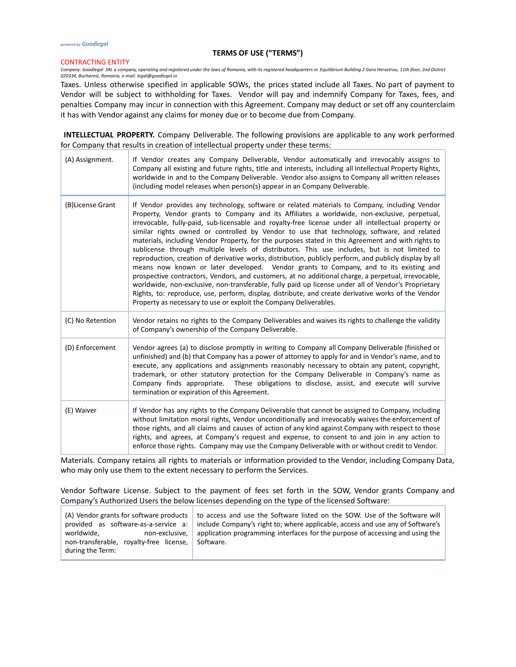#### CONTRACTING ENTITY

Company: Goodlegal SRL a company, operating and registered under the laws of Romania, with its registered headquarters in Equilibrium Building 2 Gara Herastrau, 11th floor, 2nd District<br>020334, Bucharest, Romania, e-mail:

Taxes. Unless otherwise specified in applicable SOWs, the prices stated include all Taxes. No part of payment to Vendor will be subject to withholding for Taxes. Vendor will pay and indemnify Company for Taxes, fees, and penalties Company may incur in connection with this Agreement. Company may deduct or set off any counterclaim it has with Vendor against any claims for money due or to become due from Company.

**INTELLECTUAL PROPERTY.** Company Deliverable. The following provisions are applicable to any work performed for Company that results in creation of intellectual property under these terms:

| (A) Assignment.  | If Vendor creates any Company Deliverable, Vendor automatically and irrevocably assigns to<br>Company all existing and future rights, title and interests, including all Intellectual Property Rights,<br>worldwide in and to the Company Deliverable. Vendor also assigns to Company all written releases<br>(including model releases when person(s) appear in an Company Deliverable.                                                                                                                                                                                                                                                                                                                                                                                                                                                                                                                                                                                                                                                                                                                                                                                                               |  |
|------------------|--------------------------------------------------------------------------------------------------------------------------------------------------------------------------------------------------------------------------------------------------------------------------------------------------------------------------------------------------------------------------------------------------------------------------------------------------------------------------------------------------------------------------------------------------------------------------------------------------------------------------------------------------------------------------------------------------------------------------------------------------------------------------------------------------------------------------------------------------------------------------------------------------------------------------------------------------------------------------------------------------------------------------------------------------------------------------------------------------------------------------------------------------------------------------------------------------------|--|
| (B)License Grant | If Vendor provides any technology, software or related materials to Company, including Vendor<br>Property, Vendor grants to Company and its Affiliates a worldwide, non-exclusive, perpetual,<br>irrevocable, fully-paid, sub-licensable and royalty-free license under all intellectual property or<br>similar rights owned or controlled by Vendor to use that technology, software, and related<br>materials, including Vendor Property, for the purposes stated in this Agreement and with rights to<br>sublicense through multiple levels of distributors. This use includes, but is not limited to<br>reproduction, creation of derivative works, distribution, publicly perform, and publicly display by all<br>means now known or later developed. Vendor grants to Company, and to its existing and<br>prospective contractors, Vendors, and customers, at no additional charge, a perpetual, irrevocable,<br>worldwide, non-exclusive, non-transferable, fully paid up license under all of Vendor's Proprietary<br>Rights, to: reproduce, use, perform, display, distribute, and create derivative works of the Vendor<br>Property as necessary to use or exploit the Company Deliverables. |  |
| (C) No Retention | Vendor retains no rights to the Company Deliverables and waives its rights to challenge the validity<br>of Company's ownership of the Company Deliverable.                                                                                                                                                                                                                                                                                                                                                                                                                                                                                                                                                                                                                                                                                                                                                                                                                                                                                                                                                                                                                                             |  |
| (D) Enforcement  | Vendor agrees (a) to disclose promptly in writing to Company all Company Deliverable (finished or<br>unfinished) and (b) that Company has a power of attorney to apply for and in Vendor's name, and to<br>execute, any applications and assignments reasonably necessary to obtain any patent, copyright,<br>trademark, or other statutory protection for the Company Deliverable in Company's name as<br>Company finds appropriate. These obligations to disclose, assist, and execute will survive<br>termination or expiration of this Agreement.                                                                                                                                                                                                                                                                                                                                                                                                                                                                                                                                                                                                                                                  |  |
| (E) Waiver       | If Vendor has any rights to the Company Deliverable that cannot be assigned to Company, including<br>without limitation moral rights, Vendor unconditionally and irrevocably waives the enforcement of<br>those rights, and all claims and causes of action of any kind against Company with respect to those<br>rights, and agrees, at Company's request and expense, to consent to and join in any action to<br>enforce those rights. Company may use the Company Deliverable with or without credit to Vendor.                                                                                                                                                                                                                                                                                                                                                                                                                                                                                                                                                                                                                                                                                      |  |

Materials. Company retains all rights to materials or information provided to the Vendor, including Company Data, who may only use them to the extent necessary to perform the Services.

Vendor Software License. Subject to the payment of fees set forth in the SOW, Vendor grants Company and Company's Authorized Users the below licenses depending on the type of the licensed Software:

|                                         | (A) Vendor grants for software products to access and use the Software listed on the SOW. Use of the Software will  |
|-----------------------------------------|---------------------------------------------------------------------------------------------------------------------|
|                                         | provided as software-as-a-service a: include Company's right to; where applicable, access and use any of Software's |
| worldwide,                              | non-exclusive, application programming interfaces for the purpose of accessing and using the                        |
| non-transferable, royalty-free license, | Software.                                                                                                           |
| during the Term:                        |                                                                                                                     |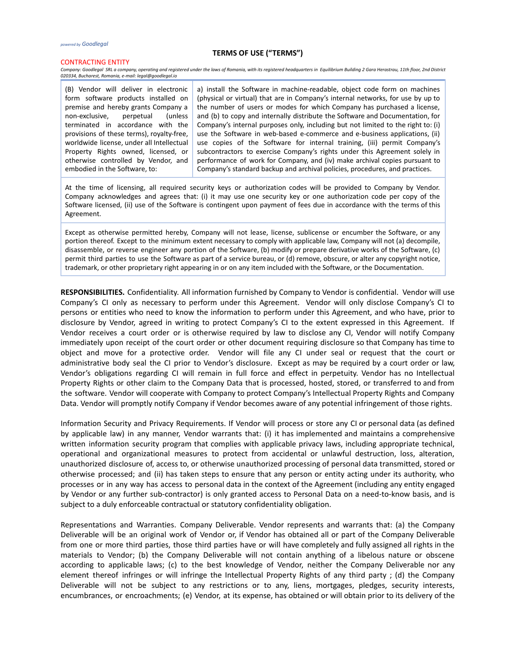#### CONTRACTING ENTITY

*Company: Goodlegal SRL a company, operating and registered under the laws of Romania, with its registered headquarters in Equilibrium Building 2 Gara Herastrau, 11th floor, 2nd District 020334, Bucharest, Romania, e-mail: legal@goodlegal.io*

(B) Vendor will deliver in electronic form software products installed on premise and hereby grants Company a non-exclusive, perpetual (unless terminated in accordance with the provisions of these terms), royalty-free, worldwide license, under all Intellectual Property Rights owned, licensed, or otherwise controlled by Vendor, and embodied in the Software, to:

a) install the Software in machine-readable, object code form on machines (physical or virtual) that are in Company's internal networks, for use by up to the number of users or modes for which Company has purchased a license, and (b) to copy and internally distribute the Software and Documentation, for Company's internal purposes only, including but not limited to the right to: (i) use the Software in web-based e-commerce and e-business applications, (ii) use copies of the Software for internal training, (iii) permit Company's subcontractors to exercise Company's rights under this Agreement solely in performance of work for Company, and (iv) make archival copies pursuant to Company's standard backup and archival policies, procedures, and practices.

At the time of licensing, all required security keys or authorization codes will be provided to Company by Vendor. Company acknowledges and agrees that: (i) it may use one security key or one authorization code per copy of the Software licensed, (ii) use of the Software is contingent upon payment of fees due in accordance with the terms of this Agreement.

Except as otherwise permitted hereby, Company will not lease, license, sublicense or encumber the Software, or any portion thereof. Except to the minimum extent necessary to comply with applicable law, Company will not (a) decompile, disassemble, or reverse engineer any portion of the Software, (b) modify or prepare derivative works of the Software, (c) permit third parties to use the Software as part of a service bureau, or (d) remove, obscure, or alter any copyright notice, trademark, or other proprietary right appearing in or on any item included with the Software, or the Documentation.

**RESPONSIBILITIES.** Confidentiality. All information furnished by Company to Vendor is confidential. Vendor will use Company's CI only as necessary to perform under this Agreement. Vendor will only disclose Company's CI to persons or entities who need to know the information to perform under this Agreement, and who have, prior to disclosure by Vendor, agreed in writing to protect Company's CI to the extent expressed in this Agreement. If Vendor receives a court order or is otherwise required by law to disclose any CI, Vendor will notify Company immediately upon receipt of the court order or other document requiring disclosure so that Company has time to object and move for a protective order. Vendor will file any CI under seal or request that the court or administrative body seal the CI prior to Vendor's disclosure. Except as may be required by a court order or law, Vendor's obligations regarding CI will remain in full force and effect in perpetuity. Vendor has no Intellectual Property Rights or other claim to the Company Data that is processed, hosted, stored, or transferred to and from the software. Vendor will cooperate with Company to protect Company's Intellectual Property Rights and Company Data. Vendor will promptly notify Company if Vendor becomes aware of any potential infringement of those rights.

Information Security and Privacy Requirements. If Vendor will process or store any CI or personal data (as defined by applicable law) in any manner, Vendor warrants that: (i) it has implemented and maintains a comprehensive written information security program that complies with applicable privacy laws, including appropriate technical, operational and organizational measures to protect from accidental or unlawful destruction, loss, alteration, unauthorized disclosure of, access to, or otherwise unauthorized processing of personal data transmitted, stored or otherwise processed; and (ii) has taken steps to ensure that any person or entity acting under its authority, who processes or in any way has access to personal data in the context of the Agreement (including any entity engaged by Vendor or any further sub-contractor) is only granted access to Personal Data on a need-to-know basis, and is subject to a duly enforceable contractual or statutory confidentiality obligation.

Representations and Warranties. Company Deliverable. Vendor represents and warrants that: (a) the Company Deliverable will be an original work of Vendor or, if Vendor has obtained all or part of the Company Deliverable from one or more third parties, those third parties have or will have completely and fully assigned all rights in the materials to Vendor; (b) the Company Deliverable will not contain anything of a libelous nature or obscene according to applicable laws; (c) to the best knowledge of Vendor, neither the Company Deliverable nor any element thereof infringes or will infringe the Intellectual Property Rights of any third party ; (d) the Company Deliverable will not be subject to any restrictions or to any, liens, mortgages, pledges, security interests, encumbrances, or encroachments; (e) Vendor, at its expense, has obtained or will obtain prior to its delivery of the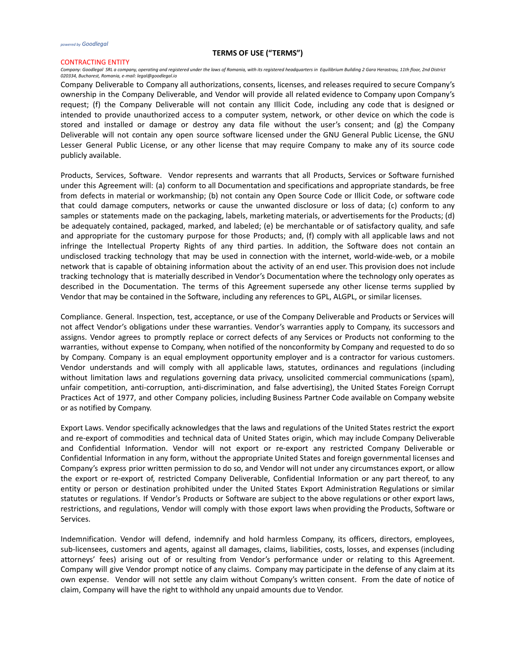#### CONTRACTING ENTITY

*Company: Goodlegal SRL a company, operating and registered under the laws of Romania, with its registered headquarters in Equilibrium Building 2 Gara Herastrau, 11th floor, 2nd District 020334, Bucharest, Romania, e-mail: legal@goodlegal.io*

Company Deliverable to Company all authorizations, consents, licenses, and releases required to secure Company's ownership in the Company Deliverable, and Vendor will provide all related evidence to Company upon Company's request; (f) the Company Deliverable will not contain any Illicit Code, including any code that is designed or intended to provide unauthorized access to a computer system, network, or other device on which the code is stored and installed or damage or destroy any data file without the user's consent; and (g) the Company Deliverable will not contain any open source software licensed under the GNU General Public License, the GNU Lesser General Public License, or any other license that may require Company to make any of its source code publicly available.

Products, Services, Software. Vendor represents and warrants that all Products, Services or Software furnished under this Agreement will: (a) conform to all Documentation and specifications and appropriate standards, be free from defects in material or workmanship; (b) not contain any Open Source Code or Illicit Code, or software code that could damage computers, networks or cause the unwanted disclosure or loss of data; (c) conform to any samples or statements made on the packaging, labels, marketing materials, or advertisements for the Products; (d) be adequately contained, packaged, marked, and labeled; (e) be merchantable or of satisfactory quality, and safe and appropriate for the customary purpose for those Products; and, (f) comply with all applicable laws and not infringe the Intellectual Property Rights of any third parties. In addition, the Software does not contain an undisclosed tracking technology that may be used in connection with the internet, world-wide-web, or a mobile network that is capable of obtaining information about the activity of an end user. This provision does not include tracking technology that is materially described in Vendor's Documentation where the technology only operates as described in the Documentation. The terms of this Agreement supersede any other license terms supplied by Vendor that may be contained in the Software, including any references to GPL, ALGPL, or similar licenses.

Compliance. General. Inspection, test, acceptance, or use of the Company Deliverable and Products or Services will not affect Vendor's obligations under these warranties. Vendor's warranties apply to Company, its successors and assigns. Vendor agrees to promptly replace or correct defects of any Services or Products not conforming to the warranties, without expense to Company, when notified of the nonconformity by Company and requested to do so by Company. Company is an equal employment opportunity employer and is a contractor for various customers. Vendor understands and will comply with all applicable laws, statutes, ordinances and regulations (including without limitation laws and regulations governing data privacy, unsolicited commercial communications (spam), unfair competition, anti-corruption, anti-discrimination, and false advertising), the United States Foreign Corrupt Practices Act of 1977, and other Company policies, including Business Partner Code available on Company website or as notified by Company.

Export Laws. Vendor specifically acknowledges that the laws and regulations of the United States restrict the export and re-export of commodities and technical data of United States origin, which may include Company Deliverable and Confidential Information. Vendor will not export or re-export any restricted Company Deliverable or Confidential Information in any form, without the appropriate United States and foreign governmental licenses and Company's express prior written permission to do so, and Vendor will not under any circumstances export, or allow the export or re-export of, restricted Company Deliverable, Confidential Information or any part thereof, to any entity or person or destination prohibited under the United States Export Administration Regulations or similar statutes or regulations. If Vendor's Products or Software are subject to the above regulations or other export laws, restrictions, and regulations, Vendor will comply with those export laws when providing the Products, Software or Services.

Indemnification. Vendor will defend, indemnify and hold harmless Company, its officers, directors, employees, sub-licensees, customers and agents, against all damages, claims, liabilities, costs, losses, and expenses (including attorneys' fees) arising out of or resulting from Vendor's performance under or relating to this Agreement. Company will give Vendor prompt notice of any claims. Company may participate in the defense of any claim at its own expense. Vendor will not settle any claim without Company's written consent. From the date of notice of claim, Company will have the right to withhold any unpaid amounts due to Vendor.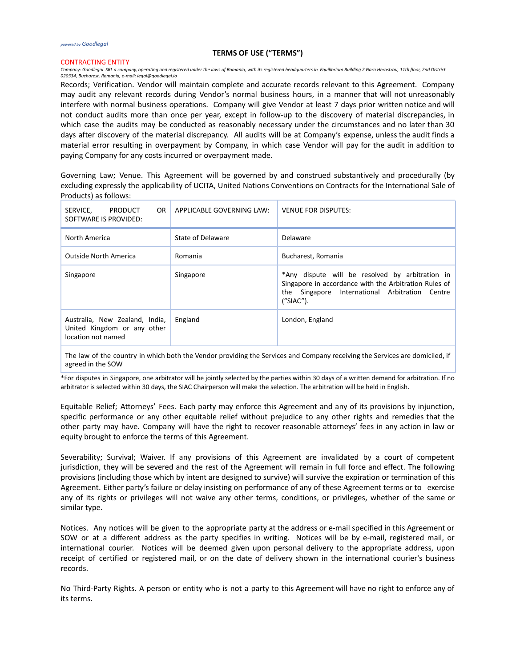## CONTRACTING ENTITY

*Company: Goodlegal SRL a company, operating and registered under the laws of Romania, with its registered headquarters in Equilibrium Building 2 Gara Herastrau, 11th floor, 2nd District 020334, Bucharest, Romania, e-mail: legal@goodlegal.io*

Records; Verification. Vendor will maintain complete and accurate records relevant to this Agreement. Company may audit any relevant records during Vendor's normal business hours, in a manner that will not unreasonably interfere with normal business operations. Company will give Vendor at least 7 days prior written notice and will not conduct audits more than once per year, except in follow-up to the discovery of material discrepancies, in which case the audits may be conducted as reasonably necessary under the circumstances and no later than 30 days after discovery of the material discrepancy. All audits will be at Company's expense, unless the audit finds a material error resulting in overpayment by Company, in which case Vendor will pay for the audit in addition to paying Company for any costs incurred or overpayment made.

Governing Law; Venue. This Agreement will be governed by and construed substantively and procedurally (by excluding expressly the applicability of UCITA, United Nations Conventions on Contracts for the International Sale of Products) as follows:

| PRODUCT<br>OR.<br>SERVICE.<br>SOFTWARE IS PROVIDED:                                 | APPLICABLE GOVERNING LAW: | <b>VENUE FOR DISPUTES:</b>                                                                                                                                               |
|-------------------------------------------------------------------------------------|---------------------------|--------------------------------------------------------------------------------------------------------------------------------------------------------------------------|
| North America                                                                       | State of Delaware         | Delaware                                                                                                                                                                 |
| <b>Outside North America</b>                                                        | Romania                   | Bucharest, Romania                                                                                                                                                       |
| Singapore                                                                           | Singapore                 | *Any dispute will be resolved by arbitration in<br>Singapore in accordance with the Arbitration Rules of<br>the Singapore International Arbitration Centre<br>(''SIAC"). |
| Australia, New Zealand, India,<br>United Kingdom or any other<br>location not named | England                   | London, England                                                                                                                                                          |

The law of the country in which both the Vendor providing the Services and Company receiving the Services are domiciled, if agreed in the SOW

\*For disputes in Singapore, one arbitrator will be jointly selected by the parties within 30 days of a written demand for arbitration. If no arbitrator is selected within 30 days, the SIAC Chairperson will make the selection. The arbitration will be held in English.

Equitable Relief; Attorneys' Fees. Each party may enforce this Agreement and any of its provisions by injunction, specific performance or any other equitable relief without prejudice to any other rights and remedies that the other party may have. Company will have the right to recover reasonable attorneys' fees in any action in law or equity brought to enforce the terms of this Agreement.

Severability; Survival; Waiver. If any provisions of this Agreement are invalidated by a court of competent jurisdiction, they will be severed and the rest of the Agreement will remain in full force and effect. The following provisions (including those which by intent are designed to survive) will survive the expiration or termination of this Agreement. Either party's failure or delay insisting on performance of any of these Agreement terms or to exercise any of its rights or privileges will not waive any other terms, conditions, or privileges, whether of the same or similar type.

Notices. Any notices will be given to the appropriate party at the address or e-mail specified in this Agreement or SOW or at a different address as the party specifies in writing. Notices will be by e-mail, registered mail, or international courier. Notices will be deemed given upon personal delivery to the appropriate address, upon receipt of certified or registered mail, or on the date of delivery shown in the international courier's business records.

No Third-Party Rights. A person or entity who is not a party to this Agreement will have no right to enforce any of its terms.